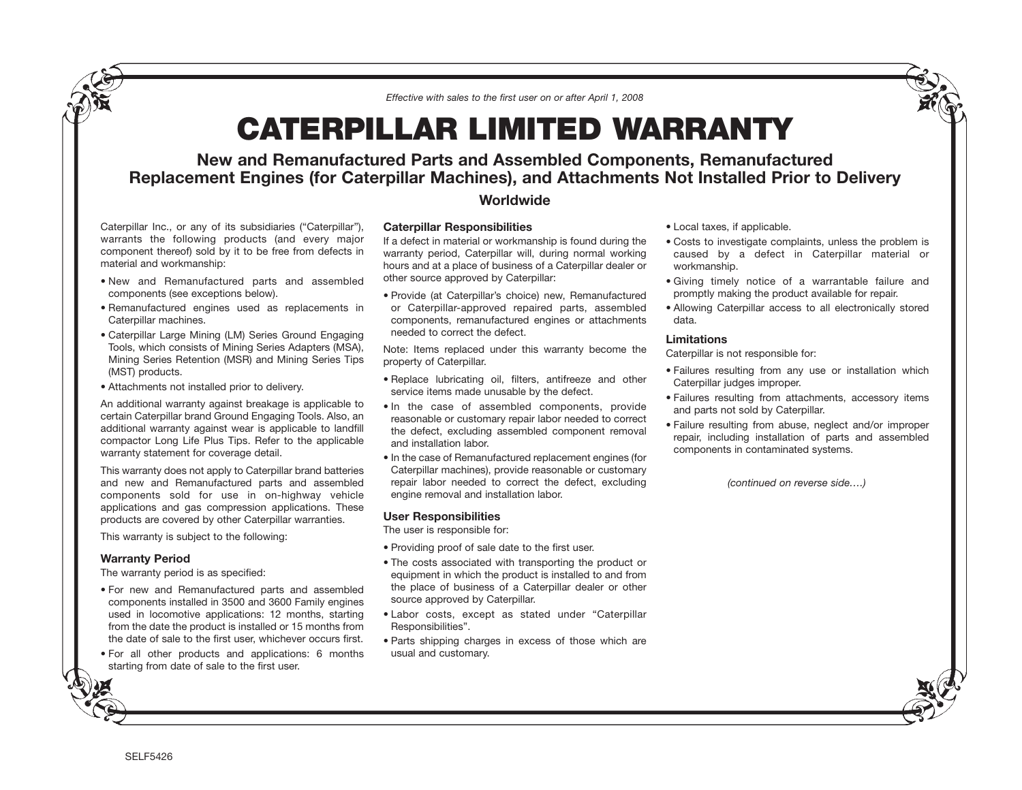*Effective with sales to the first user on or after April 1, 2008*

# **CATERPILLAR LIMITED WARRANTY**

## **New and Remanufactured Parts and Assembled Components, Remanufactured Replacement Engines (for Caterpillar Machines), and Attachments Not Installed Prior to Delivery**

### **Worldwide**

Caterpillar Inc., or any of its subsidiaries ("Caterpillar"), warrants the following products (and every major component thereof) sold by it to be free from defects in material and workmanship:

- New and Remanufactured parts and assembled components (see exceptions below).
- Remanufactured engines used as replacements in Caterpillar machines.
- Caterpillar Large Mining (LM) Series Ground Engaging Tools, which consists of Mining Series Adapters (MSA), Mining Series Retention (MSR) and Mining Series Tips (MST) products.
- Attachments not installed prior to delivery.

An additional warranty against breakage is applicable to certain Caterpillar brand Ground Engaging Tools. Also, an additional warranty against wear is applicable to landfill compactor Long Life Plus Tips. Refer to the applicable warranty statement for coverage detail.

This warranty does not apply to Caterpillar brand batteries and new and Remanufactured parts and assembled components sold for use in on-highway vehicle applications and gas compression applications. These products are covered by other Caterpillar warranties.

This warranty is subject to the following:

#### **Warranty Period**

The warranty period is as specified:

- For new and Remanufactured parts and assembled components installed in 3500 and 3600 Family engines used in locomotive applications: 12 months, starting from the date the product is installed or 15 months from the date of sale to the first user, whichever occurs first.
- For all other products and applications: 6 months starting from date of sale to the first user.

#### **Caterpillar Responsibilities**

If a defect in material or workmanship is found during the warranty period, Caterpillar will, during normal working hours and at a place of business of a Caterpillar dealer or other source approved by Caterpillar:

• Provide (at Caterpillar's choice) new, Remanufactured or Caterpillar-approved repaired parts, assembled components, remanufactured engines or attachments needed to correct the defect.

Note: Items replaced under this warranty become the property of Caterpillar.

- Replace lubricating oil, filters, antifreeze and other service items made unusable by the defect.
- In the case of assembled components, provide reasonable or customary repair labor needed to correct the defect, excluding assembled component removal and installation labor.
- In the case of Remanufactured replacement engines (for Caterpillar machines), provide reasonable or customary repair labor needed to correct the defect, excluding engine removal and installation labor.

#### **User Responsibilities**

The user is responsible for:

- Providing proof of sale date to the first user.
- The costs associated with transporting the product or equipment in which the product is installed to and from the place of business of a Caterpillar dealer or other source approved by Caterpillar.
- Labor costs, except as stated under "Caterpillar Responsibilities".
- Parts shipping charges in excess of those which are usual and customary.
- Local taxes, if applicable.
- Costs to investigate complaints, unless the problem is caused by a defect in Caterpillar material or workmanship.
- Giving timely notice of a warrantable failure and promptly making the product available for repair.
- Allowing Caterpillar access to all electronically stored data.

#### **Limitations**

Caterpillar is not responsible for:

- Failures resulting from any use or installation which Caterpillar judges improper.
- Failures resulting from attachments, accessory items and parts not sold by Caterpillar.
- Failure resulting from abuse, neglect and/or improper repair, including installation of parts and assembled components in contaminated systems.

*(continued on reverse side….)*